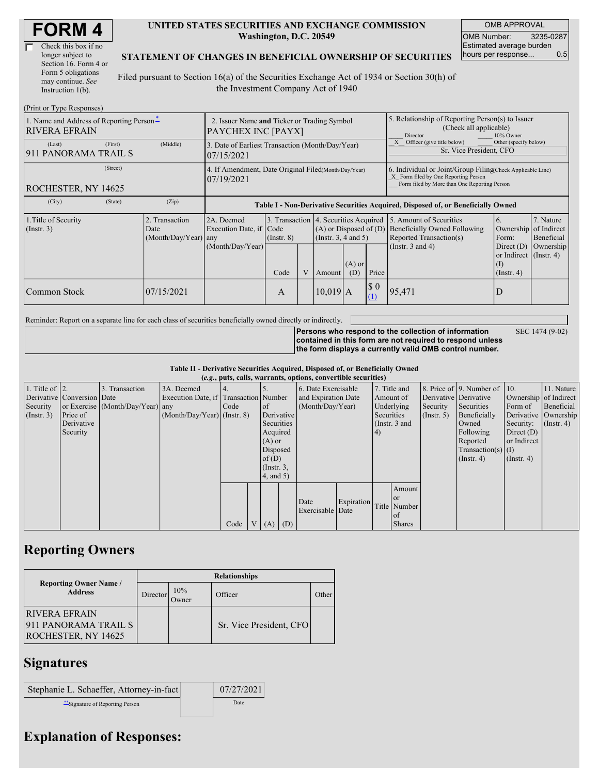| Check this box if no  |  |
|-----------------------|--|
| longer subject to     |  |
| Section 16. Form 4 or |  |
| Form 5 obligations    |  |
| may continue. See     |  |
| Instruction 1(b).     |  |

## **UNITED STATES SECURITIES AND EXCHANGE COMMISSION Washington, D.C. 20549**

OMB APPROVAL OMB Number: 3235-0287 Estimated average burden hours per response... 0.5

## **STATEMENT OF CHANGES IN BENEFICIAL OWNERSHIP OF SECURITIES**

Filed pursuant to Section 16(a) of the Securities Exchange Act of 1934 or Section 30(h) of the Investment Company Act of 1940

| (Print or Type Responses)                                                             |                                                                          |            |                                                                                  |                 |   |                                                                                                     |                                                                                                                                                    |                                                                                |                                                                                    |                                                                         |                         |
|---------------------------------------------------------------------------------------|--------------------------------------------------------------------------|------------|----------------------------------------------------------------------------------|-----------------|---|-----------------------------------------------------------------------------------------------------|----------------------------------------------------------------------------------------------------------------------------------------------------|--------------------------------------------------------------------------------|------------------------------------------------------------------------------------|-------------------------------------------------------------------------|-------------------------|
| 1. Name and Address of Reporting Person*<br><b>RIVERA EFRAIN</b>                      | 2. Issuer Name and Ticker or Trading Symbol<br><b>PAYCHEX INC [PAYX]</b> |            |                                                                                  |                 |   | 5. Relationship of Reporting Person(s) to Issuer<br>(Check all applicable)<br>Director<br>10% Owner |                                                                                                                                                    |                                                                                |                                                                                    |                                                                         |                         |
| (Last)<br>911 PANORAMA TRAIL S                                                        | (First)                                                                  | (Middle)   | 3. Date of Earliest Transaction (Month/Day/Year)<br>07/15/2021                   |                 |   |                                                                                                     |                                                                                                                                                    | Other (specify below)<br>Officer (give title below)<br>Sr. Vice President, CFO |                                                                                    |                                                                         |                         |
| <b>ROCHESTER, NY 14625</b>                                                            | 4. If Amendment, Date Original Filed(Month/Day/Year)<br>07/19/2021       |            |                                                                                  |                 |   |                                                                                                     | 6. Individual or Joint/Group Filing Check Applicable Line)<br>X Form filed by One Reporting Person<br>Form filed by More than One Reporting Person |                                                                                |                                                                                    |                                                                         |                         |
| (City)                                                                                | (State)                                                                  | (Zip)      | Table I - Non-Derivative Securities Acquired, Disposed of, or Beneficially Owned |                 |   |                                                                                                     |                                                                                                                                                    |                                                                                |                                                                                    |                                                                         |                         |
| 1. Title of Security<br>2. Transaction<br>(Insert. 3)<br>Date<br>(Month/Day/Year) any |                                                                          |            | 2A. Deemed<br>Execution Date, if Code                                            | $($ Instr. $8)$ |   | 3. Transaction 4. Securities Acquired<br>$(A)$ or Disposed of $(D)$<br>(Insert. 3, 4 and 5)         |                                                                                                                                                    |                                                                                | 5. Amount of Securities<br>Beneficially Owned Following<br>Reported Transaction(s) | <sup>6.</sup><br>Ownership of Indirect<br>Form:                         | 7. Nature<br>Beneficial |
|                                                                                       |                                                                          |            | (Month/Day/Year)                                                                 | Code            | V | Amount                                                                                              | $(A)$ or<br>(D)                                                                                                                                    | Price                                                                          | (Instr. $3$ and $4$ )                                                              | Direct $(D)$<br>or Indirect $($ Instr. 4 $)$<br>(I)<br>$($ Instr. 4 $)$ | Ownership               |
| Common Stock                                                                          |                                                                          | 07/15/2021 |                                                                                  | A               |   | $10,019$  A                                                                                         |                                                                                                                                                    | $\boldsymbol{S}$ 0<br>(1)                                                      | 95,471                                                                             | D                                                                       |                         |

Reminder: Report on a separate line for each class of securities beneficially owned directly or indirectly.

**Persons who respond to the collection of information**

SEC 1474 (9-02)

**contained in this form are not required to respond unless the form displays a currently valid OMB control number.**

**Table II - Derivative Securities Acquired, Disposed of, or Beneficially Owned**

|                        | (e.g., puts, calls, warrants, options, convertible securities) |                                  |                                       |      |  |                 |            |                     |            |            |               |                  |                              |                       |                      |
|------------------------|----------------------------------------------------------------|----------------------------------|---------------------------------------|------|--|-----------------|------------|---------------------|------------|------------|---------------|------------------|------------------------------|-----------------------|----------------------|
| 1. Title of $\vert$ 2. |                                                                | 3. Transaction                   | 3A. Deemed                            |      |  |                 |            | 6. Date Exercisable |            |            | 7. Title and  |                  | 8. Price of 9. Number of 10. |                       | 11. Nature           |
|                        | Derivative Conversion Date                                     |                                  | Execution Date, if Transaction Number |      |  |                 |            | and Expiration Date |            |            | Amount of     |                  | Derivative Derivative        | Ownership of Indirect |                      |
| Security               |                                                                | or Exercise (Month/Day/Year) any |                                       | Code |  | of              |            | (Month/Day/Year)    |            | Underlying |               | Security         | Securities                   | Form of               | Beneficial           |
| (Insert. 3)            | Price of                                                       |                                  | $(Month/Day/Year)$ (Instr. 8)         |      |  |                 | Derivative |                     |            | Securities |               | $($ Instr. 5 $)$ | Beneficially                 |                       | Derivative Ownership |
|                        | Derivative                                                     |                                  |                                       |      |  | Securities      |            |                     |            |            | (Instr. 3 and |                  | Owned                        | Security:             | $($ Instr. 4)        |
|                        | Security                                                       |                                  |                                       |      |  | Acquired        |            |                     |            | 4)         |               |                  | Following                    | Direct $(D)$          |                      |
|                        |                                                                |                                  |                                       |      |  | $(A)$ or        |            |                     |            |            |               |                  | Reported                     | or Indirect           |                      |
|                        |                                                                |                                  |                                       |      |  | Disposed        |            |                     |            |            |               |                  | $Transaction(s)$ (I)         |                       |                      |
|                        |                                                                |                                  |                                       |      |  | of(D)           |            |                     |            |            |               |                  | $($ Instr. 4 $)$             | $($ Instr. 4 $)$      |                      |
|                        |                                                                |                                  |                                       |      |  | $($ Instr. $3,$ |            |                     |            |            |               |                  |                              |                       |                      |
|                        |                                                                |                                  |                                       |      |  | $4$ , and $5$ ) |            |                     |            |            |               |                  |                              |                       |                      |
|                        |                                                                |                                  |                                       |      |  |                 |            |                     |            |            | Amount        |                  |                              |                       |                      |
|                        |                                                                |                                  |                                       |      |  |                 |            | Date                | Expiration |            | <sub>or</sub> |                  |                              |                       |                      |
|                        |                                                                |                                  |                                       |      |  |                 |            | Exercisable Date    |            |            | Title Number  |                  |                              |                       |                      |
|                        |                                                                |                                  |                                       |      |  |                 |            |                     |            |            | of            |                  |                              |                       |                      |
|                        |                                                                |                                  |                                       | Code |  | V(A)            | (D)        |                     |            |            | <b>Shares</b> |                  |                              |                       |                      |

## **Reporting Owners**

|                                                              | <b>Relationships</b> |              |                         |       |  |  |  |  |  |
|--------------------------------------------------------------|----------------------|--------------|-------------------------|-------|--|--|--|--|--|
| <b>Reporting Owner Name /</b><br><b>Address</b>              | Director             | 10%<br>)wner | Officer                 | Other |  |  |  |  |  |
| RIVERA EFRAIN<br>911 PANORAMA TRAIL S<br>ROCHESTER, NY 14625 |                      |              | Sr. Vice President, CFO |       |  |  |  |  |  |

## **Signatures**

Stephanie L. Schaeffer, Attorney-in-fact | 07/27/2021 \*\*Signature of Reporting Person Date

**Explanation of Responses:**